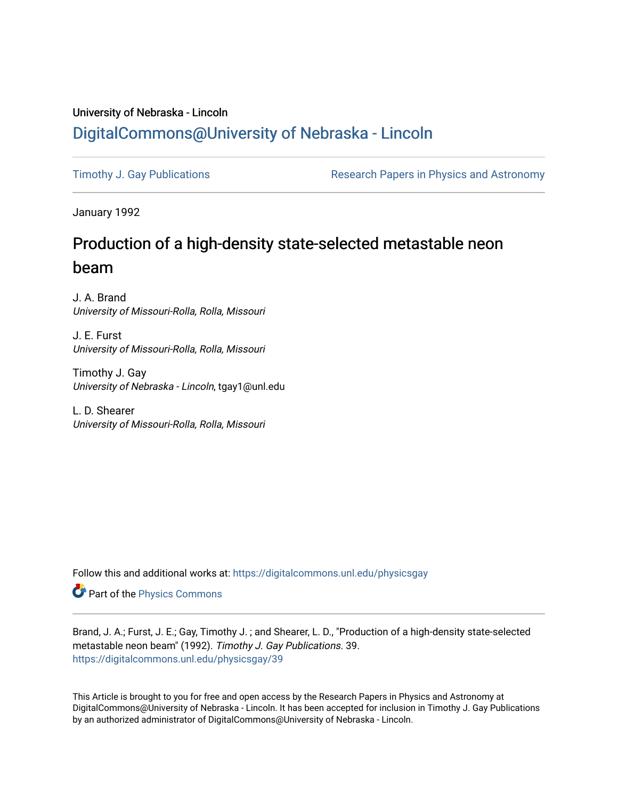## University of Nebraska - Lincoln [DigitalCommons@University of Nebraska - Lincoln](https://digitalcommons.unl.edu/)

[Timothy J. Gay Publications](https://digitalcommons.unl.edu/physicsgay) **Research Papers in Physics and Astronomy** 

January 1992

# Production of a high-density state-selected metastable neon beam

J. A. Brand University of Missouri-Rolla, Rolla, Missouri

J. E. Furst University of Missouri-Rolla, Rolla, Missouri

Timothy J. Gay University of Nebraska - Lincoln, tgay1@unl.edu

L. D. Shearer University of Missouri-Rolla, Rolla, Missouri

Follow this and additional works at: [https://digitalcommons.unl.edu/physicsgay](https://digitalcommons.unl.edu/physicsgay?utm_source=digitalcommons.unl.edu%2Fphysicsgay%2F39&utm_medium=PDF&utm_campaign=PDFCoverPages)

Part of the [Physics Commons](http://network.bepress.com/hgg/discipline/193?utm_source=digitalcommons.unl.edu%2Fphysicsgay%2F39&utm_medium=PDF&utm_campaign=PDFCoverPages)

Brand, J. A.; Furst, J. E.; Gay, Timothy J. ; and Shearer, L. D., "Production of a high-density state-selected metastable neon beam" (1992). Timothy J. Gay Publications. 39. [https://digitalcommons.unl.edu/physicsgay/39](https://digitalcommons.unl.edu/physicsgay/39?utm_source=digitalcommons.unl.edu%2Fphysicsgay%2F39&utm_medium=PDF&utm_campaign=PDFCoverPages) 

This Article is brought to you for free and open access by the Research Papers in Physics and Astronomy at DigitalCommons@University of Nebraska - Lincoln. It has been accepted for inclusion in Timothy J. Gay Publications by an authorized administrator of DigitalCommons@University of Nebraska - Lincoln.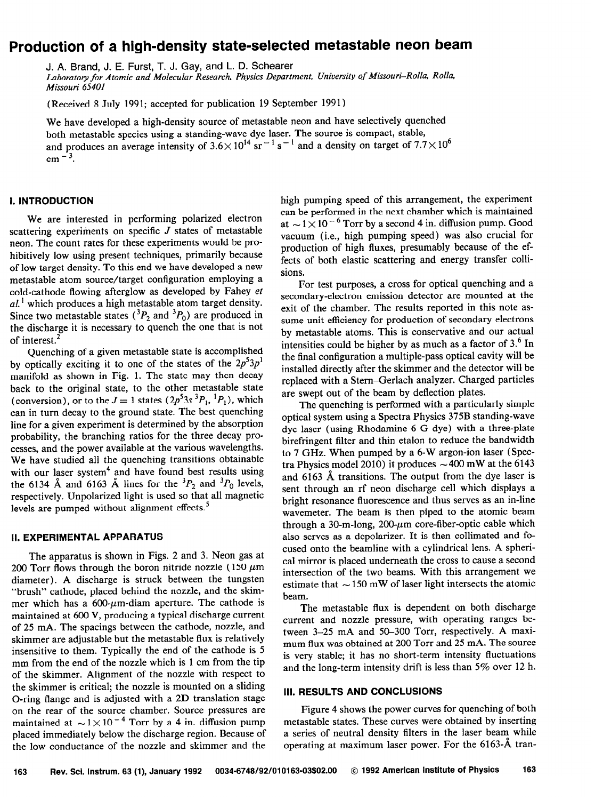### Production of a high-density state-selected metastable neon beam

J. A. Brand, J. E. Furst, T. J. Gay, and L. D. Schearer

Laboratory for Atomic and Molecular Research, Physics Department, University of Missouri-Rolla, Rolla, Missouri 65401

(Received 8 July 1991; accepted for publication 19 September 1991)

We have developed a high-density source of metastable neon and have selectively quenched both metastable species using a standing-wave dye laser. The source is compact, stable, and produces an average intensity of  $3.6 \times 10^{14}$  sr<sup>-1</sup> s<sup>-1</sup> and a density on target of  $7.7 \times 10^6$  $cm<sup>-3</sup>$ .

#### I. INTRODUCTION

We are interested in performing polarized electron scattering experiments on specific  $J$  states of metastable neon. The count rates for these experiments would be prohibitively low using present techniques, primarily because of low target density. To this end we have developed a new metastable atom source/target configuration employing a cold-cathode flowing afterglow as developed by Fahey et  $al<sup>1</sup>$  which produces a high metastable atom target density. Since two metastable states  $(^3P_2$  and  $^3P_0$ ) are produced in the discharge it is necessary to quench the one that is not of interest.<sup>2</sup>

Quenching of a given metastable state is accomplished by optically exciting it to one of the states of the  $2p^33p^1$ manifold as shown in Fig. 1. The state may then decay back to the original state, to the other metastable state (conversion), or to the  $J = 1$  states  $(2p<sup>5</sup>3s<sup>3</sup>P<sub>1</sub>, <sup>1</sup>P<sub>1</sub>)$ , which can in turn decay to the ground state. The best quenching line for a given experiment is determined by the absorption probability, the branching ratios for the three decay processes, and the power available at the various wavelengths. We have studied all the quenching transitions obtainable with our laser system $4$  and have found best results using the 6134 Å and 6163 Å lines for the  ${}^{3}P_{2}$  and  ${}^{3}P_{0}$  levels, respectively. Unpolarized light is used so that all magnetic levels are pumped without alignment effects.<sup>5</sup>

#### II. EXPERIMENTAL APPARATUS

The apparatus is shown in Figs. 2 and 3. Neon gas at 200 Torr flows through the boron nitride nozzle (150  $\mu$ m diameter). A discharge is struck between the tungsten "brush" cathode, placed behind the nozzle, and the skimmer which has a  $600-\mu m$ -diam aperture. The cathode is maintained at 600 V, producing a typical discharge current of 25 mA. The spacings between the cathode, nozzle, and skimmer are adjustable but the metastable flux is relatively insensitive to them. Typically the end of the cathode is 5 mm from the end of the nozzle which is 1 cm from the tip of the skimmer. Alignment of the nozzle with respect to the skimmer is critical; the nozzle is mounted on a sliding O-ring flange and is adjusted with a 2D translation stage on the rear of the source chamber. Source pressures are maintained at  $\sim 1 \times 10^{-4}$  Torr by a 4 in. diffusion pump placed immediately below the discharge region. Because of the low conductance of the nozzle and skimmer and the

high pumping speed of this arrangement, the experiment can be performed in the next chamber which is maintained at  $\sim 1 \times 10^{-6}$  Torr by a second 4 in. diffusion pump. Good vacuum (i.e., high pumping speed) was also crucial for production of high fluxes, presumably because of the effects of both elastic scattering and energy transfer collisions.

For test purposes, a cross for optical quenching and a secondary-electron emission detector are mounted at the exit of the chamber. The results reported in this note assume unit efficiency for production of secondary electrons by metastable atoms. This is conservative and our actual intensities could be higher by as much as a factor of  $3<sup>6</sup>$  In the final configuration a multiple-pass optical cavity will be installed directly after the skimmer and the detector will be replaced with a Stern-Gerlach analyzer. Charged particles are swept out of the beam by deflection plates.

The quenching is performed with a particularly simple optical system using a Spectra Physics 375B standing-wave dye laser (using Rhodamine 6 G dye) with a three-plate birefringent filter and thin etalon to reduce the bandwidth to 7 GHz. When pumped by a 6-W argon-ion laser (Spectra Physics model 2010) it produces  $\sim$  400 mW at the 6143 and 6163 A transitions. The output from the dye laser is sent through an rf neon discharge cell which displays a bright resonance fluorescence and thus serves as an in-line wavemeter. The beam is then piped to the atomic beam through a 30-m-long,  $200$ - $\mu$ m core-fiber-optic cable which also serves as a depolarizer. It is then collimated and focused onto the beamline with a cylindrical lens. A spherical mirror is placed underneath the cross to cause a second intersection of the two beams. With this arrangement we estimate that  $\sim$  150 mW of laser light intersects the atomic beam.

The metastable flux is dependent on both discharge current and nozzle pressure, with operating ranges between 3-25 mA and 50-300 Torr, respectively. A maximum flux was obtained at 200 Torr and 25 mA. The source is very stable; it has no short-term intensity fluctuations and the long-term intensity drift is less than 5% over 12 h.

#### III. RESULTS AND CONCLUSIONS

Figure 4 shows the power curves for quenching of both metastable states. These curves were obtained by inserting a series of neutral density filters in the laser beam while operating at maximum laser power. For the 6163-A tran-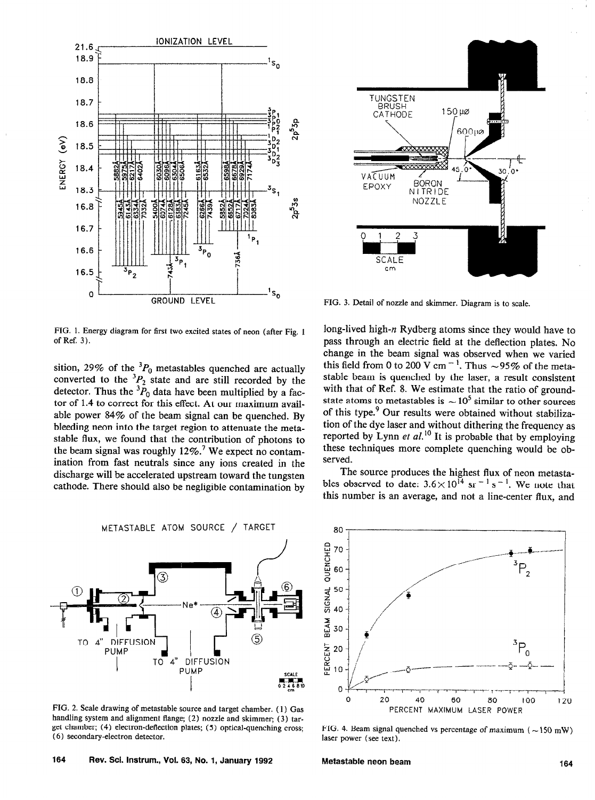



FIG. 3. Detail of nozzle and skimmer. Diagram is to scale.

FIG. 1. Energy diagram for first two excited states of neon (after Fig. 1 of Ref. 3).

sition, 29% of the  $P_0$  metastables quenched are actually converted to the  $P_2$  state and are still recorded by the detector. Thus the  ${}^{3}P_0$  data have been multiplied by a factor of 1.4 to correct for this effect. At our maximum available power 84% of the beam signal can be quenched. By bleeding neon into the target region to attenuate the metastable flux, we found that the contribution of photons to the beam signal was roughly  $12\%$ .<sup>7</sup> We expect no contamination from fast neutrals since any ions created in the discharge will be accelerated upstream toward the tungsten cathode. There should also be negligible contamination by

long-lived high-n Rydberg atoms since they would have to pass through an electric field at the deflection plates. No change in the beam signal was observed when we varied this field from 0 to 200 V cm<sup>-1</sup>. Thus  $\sim$ 95% of the metastable beam is quenched by the laser, a result consistent with that of Ref. 8. We estimate that the ratio of groundstate atoms to metastables is  $\sim 10^5$  similar to other sources of this type.<sup>9</sup> Our results were obtained without stabilization of the dye laser and without dithering the frequency as reported by Lynn et  $al$ .<sup>10</sup> It is probable that by employing these techniques more complete quenching would be observed.

The source produces the highest flux of neon metastables observed to date:  $3.6 \times 10^{14}$  sr<sup>-1</sup> s<sup>-1</sup>. We note that this number is an average, and not a line-center flux, and



FIG. 2. Scale drawing of metastable source and target chamber. ( 1) Gas handling system and alignment flange; (2) nozzle and skimmer; (3) target chamber; (4) electron-deflection plates; (5) optical-quenching cross; (6) secondary-electron detector,



FIG. 4. Beam signal quenched vs percentage of maximum ( $\sim$ 150 mW) laser power (see text).